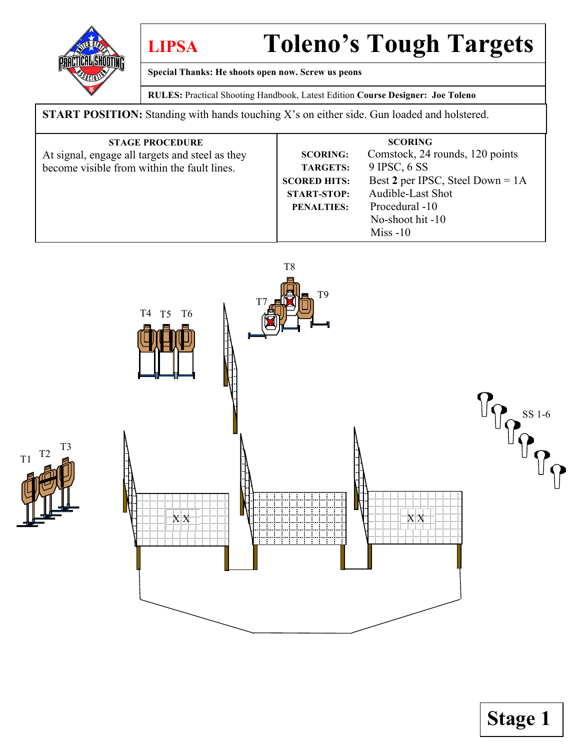

T1 T2

**LIPSA Toleno's Tough Targets**

**Special Thanks: He shoots open now. Screw us peons**

**RULES:** Practical Shooting Handbook, Latest Edition **Course Designer: Joe Toleno**

**START POSITION:** Standing with hands touching X's on either side. Gun loaded and holstered.

| <b>STAGE PROCEDURE</b><br>At signal, engage all targets and steel as they<br>become visible from within the fault lines. | <b>SCORING:</b><br><b>TARGETS:</b><br><b>SCORED HITS:</b><br><b>START-STOP:</b> | <b>SCORING</b><br>Comstock, 24 rounds, 120 points<br>$9$ IPSC, $6$ SS<br>Best 2 per IPSC, Steel Down = $1A$<br>Audible-Last Shot |
|--------------------------------------------------------------------------------------------------------------------------|---------------------------------------------------------------------------------|----------------------------------------------------------------------------------------------------------------------------------|
|                                                                                                                          | <b>PENALTIES:</b>                                                               | Procedural -10<br>No-shoot hit $-10$<br>$Miss - 10$                                                                              |



**Stage 1**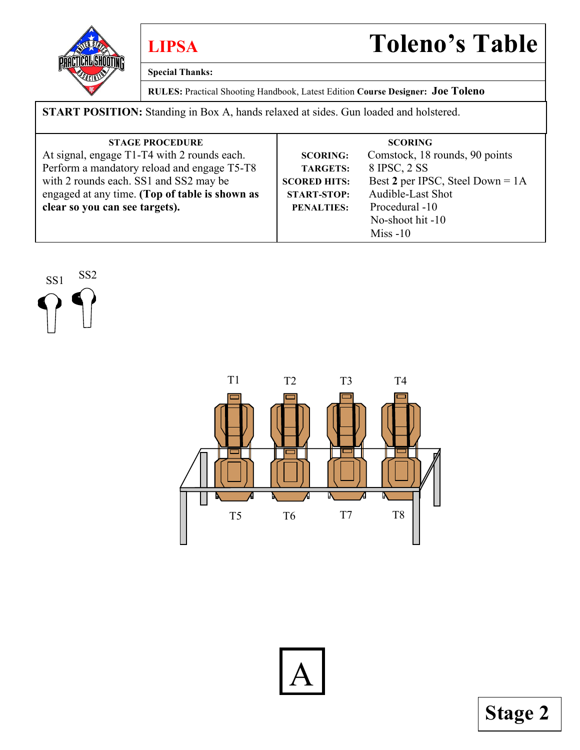

**Special Thanks:**

**RULES:** Practical Shooting Handbook, Latest Edition **Course Designer: Joe Toleno**

**START POSITION:** Standing in Box A, hands relaxed at sides. Gun loaded and holstered.

| <b>STAGE PROCEDURE</b>                         |                     | <b>SCORING</b>                     |
|------------------------------------------------|---------------------|------------------------------------|
| At signal, engage T1-T4 with 2 rounds each.    | <b>SCORING:</b>     | Comstock, 18 rounds, 90 points     |
| Perform a mandatory reload and engage T5-T8    | <b>TARGETS:</b>     | 8 IPSC, 2 SS                       |
| with 2 rounds each. SS1 and SS2 may be         | <b>SCORED HITS:</b> | Best 2 per IPSC, Steel Down = $1A$ |
| engaged at any time. (Top of table is shown as | <b>START-STOP:</b>  | Audible-Last Shot                  |
| clear so you can see targets).                 | <b>PENALTIES:</b>   | Procedural -10                     |
|                                                |                     | No-shoot hit -10                   |
|                                                |                     | $Miss - 10$                        |

SS1 SS2

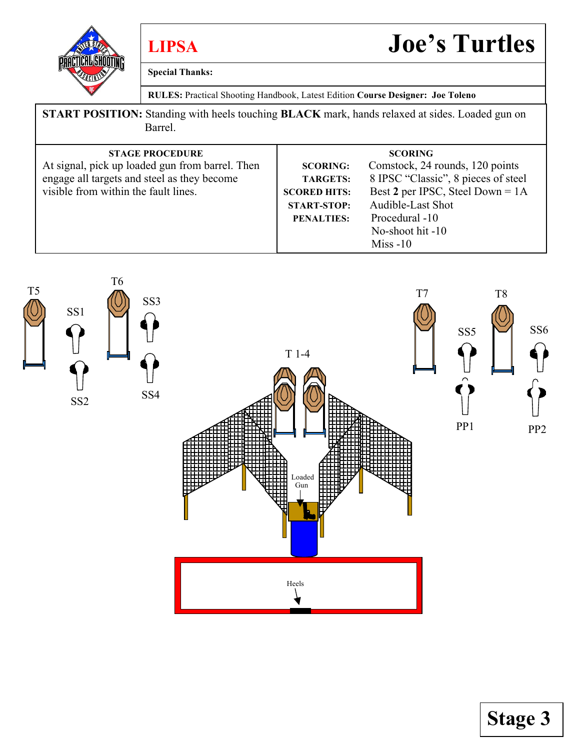

**Special Thanks:**

**LIPSA Joe's Turtles**

**RULES:** Practical Shooting Handbook, Latest Edition **Course Designer: Joe Toleno**

**START POSITION:** Standing with heels touching **BLACK** mark, hands relaxed at sides. Loaded gun on Barrel.

| <b>STAGE PROCEDURE</b>                          |                     | <b>SCORING</b>                      |
|-------------------------------------------------|---------------------|-------------------------------------|
| At signal, pick up loaded gun from barrel. Then | <b>SCORING:</b>     | Comstock, 24 rounds, 120 points     |
| engage all targets and steel as they become     | <b>TARGETS:</b>     | 8 IPSC "Classic", 8 pieces of steel |
| visible from within the fault lines.            | <b>SCORED HITS:</b> | Best 2 per IPSC, Steel Down = $1A$  |
|                                                 | <b>START-STOP:</b>  | Audible-Last Shot                   |
|                                                 | <b>PENALTIES:</b>   | Procedural -10                      |
|                                                 |                     | No-shoot hit -10                    |
|                                                 |                     | $Miss - 10$                         |



**Stage 3**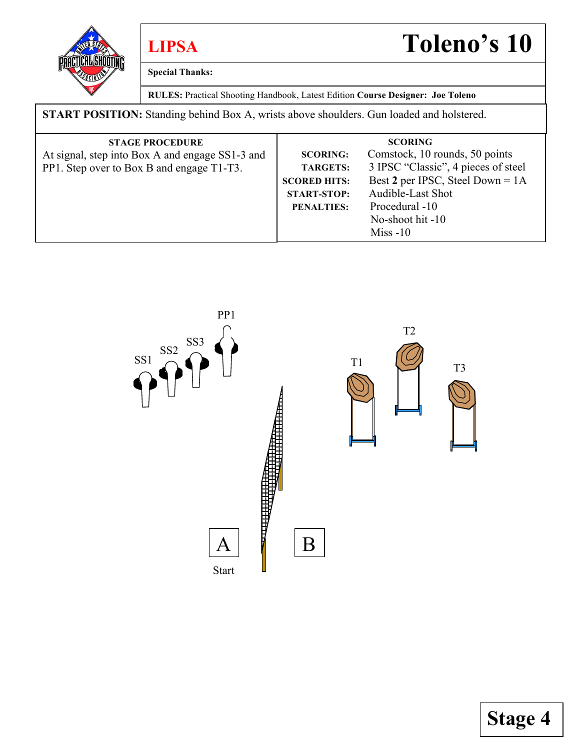

**Special Thanks:**

**LIPSA Toleno's 10**

**RULES:** Practical Shooting Handbook, Latest Edition **Course Designer: Joe Toleno**

**START POSITION:** Standing behind Box A, wrists above shoulders. Gun loaded and holstered.

| <b>STAGE PROCEDURE</b>                          |                     | <b>SCORING</b>                      |
|-------------------------------------------------|---------------------|-------------------------------------|
| At signal, step into Box A and engage SS1-3 and | <b>SCORING:</b>     | Comstock, 10 rounds, 50 points      |
| PP1. Step over to Box B and engage T1-T3.       | <b>TARGETS:</b>     | 3 IPSC "Classic", 4 pieces of steel |
|                                                 | <b>SCORED HITS:</b> | Best 2 per IPSC, Steel Down = $1A$  |
|                                                 | <b>START-STOP:</b>  | Audible-Last Shot                   |
|                                                 | <b>PENALTIES:</b>   | Procedural -10                      |
|                                                 |                     | No-shoot hit -10                    |
|                                                 |                     | $Miss - 10$                         |

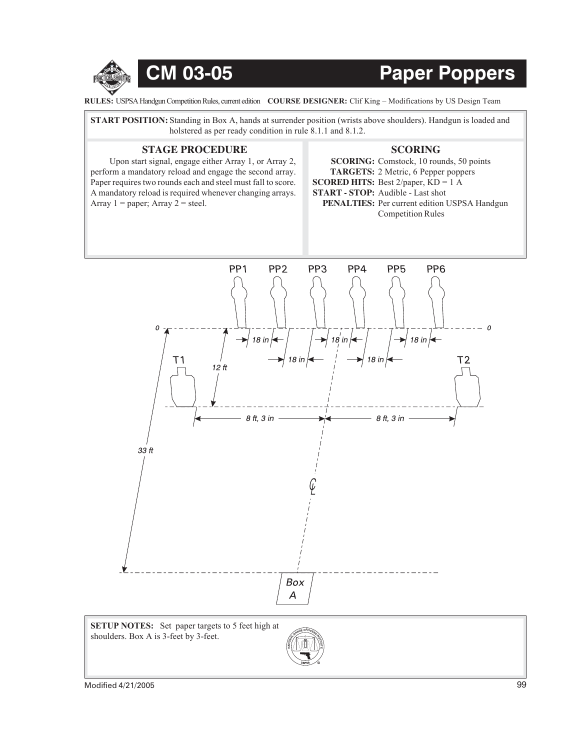

## CM 03-05 Paper Poppers

**RULES:** USPSA Handgun Competition Rules, current edition COURSE DESIGNER: Clif King – Modifications by US Design Team

**START POSITION:** Standing in Box A, hands at surrender position (wrists above shoulders). Handgun is loaded and holstered as per ready condition in rule 8.1.1 and 8.1.2.

## **STAGE PROCEDURE SCORING**

Upon start signal, engage either Array 1, or Array 2, perform a mandatory reload and engage the second array. Paper requires two rounds each and steel must fall to score. A mandatory reload is required whenever changing arrays. Array  $1 =$  paper; Array  $2 =$  steel.

**SCORING:** Comstock, 10 rounds, 50 points **TARGETS:** 2 Metric, 6 Pepper poppers **SCORED HITS:** Best 2/paper, KD = 1 A **START - STOP:** Audible - Last shot PENALTIES: Per current edition USPSA Handgun Competition Rules



**SETUP NOTES:** Set paper targets to 5 feet high at shoulders. Box A is 3-feet by 3-feet.

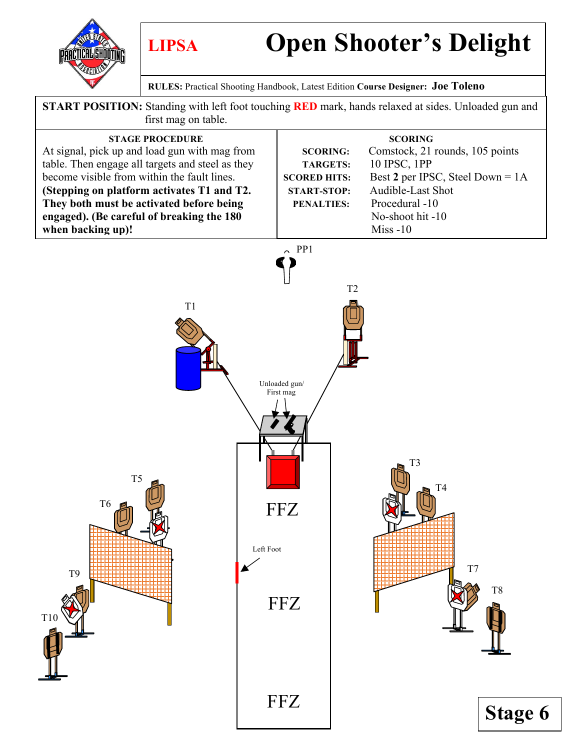**PRACTICAL SHOOTING** 

# **LIPSA Open Shooter's Delight**

**RULES:** Practical Shooting Handbook, Latest Edition **Course Designer: Joe Toleno**

**START POSITION:** Standing with left foot touching **RED** mark, hands relaxed at sides. Unloaded gun and first mag on table.